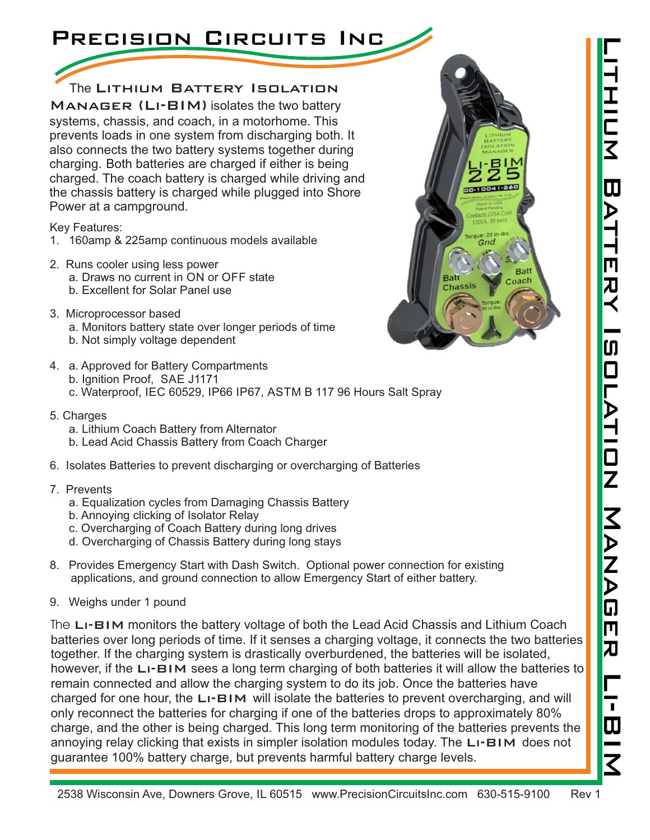#### 2538 Wisconsin Ave, Downers Grove, IL 60515 www.PrecisionCircuitsInc.com 630-515-9100 Rev 1

# Precision Circuits Inc

### The Lithium Battery Isolation

Manager (Li-BIM) isolates the two battery systems, chassis, and coach, in a motorhome. This prevents loads in one system from discharging both. It also connects the two battery systems together during charging. Both batteries are charged if either is being charged. The coach battery is charged while driving and the chassis battery is charged while plugged into Shore Power at a campground.

Key Features:

- 1. 160amp & 225amp continuous models available
- a. Draws no current in ON or OFF state b. Excellent for Solar Panel use 2. Runs cooler using less power
- 3. Microprocessor based a. Monitors battery state over longer periods of time b. Not simply voltage dependent
- c. Waterproof, IEC 60529, IP66 IP67, ASTM B 117 96 Hours Salt Spray b. Ignition Proof, SAE J1171 4. a. Approved for Battery Compartments
- 5. Charges
	- a. Lithium Coach Battery from Alternator
	- b. Lead Acid Chassis Battery from Coach Charger
- 6. Isolates Batteries to prevent discharging or overcharging of Batteries

#### 7. Prevents

- a. Equalization cycles from Damaging Chassis Battery
- b. Annoying clicking of Isolator Relay
- c. Overcharging of Coach Battery during long drives
- d. Overcharging of Chassis Battery during long stays
- 8. Provides Emergency Start with Dash Switch. Optional power connection for existing applications, and ground connection to allow Emergency Start of either battery.
- 9. Weighs under 1 pound

The L<sub>I</sub>-BIM monitors the battery voltage of both the Lead Acid Chassis and Lithium Coach batteries over long periods of time. If it senses a charging voltage, it connects the two batteries together. If the charging system is drastically overburdened, the batteries will be isolated, however, if the LI-BIM sees a long term charging of both batteries it will allow the batteries to remain connected and allow the charging system to do its job. Once the batteries have charged for one hour, the  $LI$ -BIM will isolate the batteries to prevent overcharging, and will only reconnect the batteries for charging if one of the batteries drops to approximately 80% charge, and the other is being charged. This long term monitoring of the batteries prevents the annoying relay clicking that exists in simpler isolation modules today. The LI-BIM does not guarantee 100% battery charge, but prevents harmful battery charge levels.